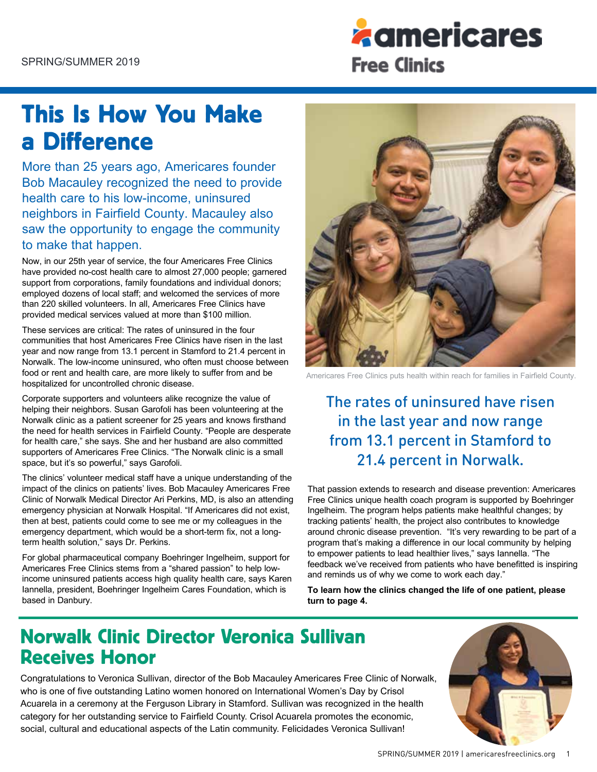

# This Is How You Make a Difference

More than 25 years ago, Americares founder Bob Macauley recognized the need to provide health care to his low-income, uninsured neighbors in Fairfield County. Macauley also saw the opportunity to engage the community to make that happen.

Now, in our 25th year of service, the four Americares Free Clinics have provided no-cost health care to almost 27,000 people; garnered support from corporations, family foundations and individual donors; employed dozens of local staff; and welcomed the services of more than 220 skilled volunteers. In all, Americares Free Clinics have provided medical services valued at more than \$100 million.

These services are critical: The rates of uninsured in the four communities that host Americares Free Clinics have risen in the last year and now range from 13.1 percent in Stamford to 21.4 percent in Norwalk. The low-income uninsured, who often must choose between food or rent and health care, are more likely to suffer from and be hospitalized for uncontrolled chronic disease.

Corporate supporters and volunteers alike recognize the value of helping their neighbors. Susan Garofoli has been volunteering at the Norwalk clinic as a patient screener for 25 years and knows firsthand the need for health services in Fairfield County. "People are desperate for health care," she says. She and her husband are also committed supporters of Americares Free Clinics. "The Norwalk clinic is a small space, but it's so powerful," says Garofoli.

The clinics' volunteer medical staff have a unique understanding of the impact of the clinics on patients' lives. Bob Macauley Americares Free Clinic of Norwalk Medical Director Ari Perkins, MD, is also an attending emergency physician at Norwalk Hospital. "If Americares did not exist, then at best, patients could come to see me or my colleagues in the emergency department, which would be a short-term fix, not a longterm health solution," says Dr. Perkins.

For global pharmaceutical company Boehringer Ingelheim, support for Americares Free Clinics stems from a "shared passion" to help lowincome uninsured patients access high quality health care, says Karen Iannella, president, Boehringer Ingelheim Cares Foundation, which is based in Danbury.



Americares Free Clinics puts health within reach for families in Fairfield County.

### The rates of uninsured have risen in the last year and now range from 13.1 percent in Stamford to 21.4 percent in Norwalk.

That passion extends to research and disease prevention: Americares Free Clinics unique health coach program is supported by Boehringer Ingelheim. The program helps patients make healthful changes; by tracking patients' health, the project also contributes to knowledge around chronic disease prevention. "It's very rewarding to be part of a program that's making a difference in our local community by helping to empower patients to lead healthier lives," says Iannella. "The feedback we've received from patients who have benefitted is inspiring and reminds us of why we come to work each day."

**To learn how the clinics changed the life of one patient, please turn to page 4.** 

### Norwalk Clinic Director Veronica Sullivan Receives Honor

Congratulations to Veronica Sullivan, director of the Bob Macauley Americares Free Clinic of Norwalk, who is one of five outstanding Latino women honored on International Women's Day by Crisol Acuarela in a ceremony at the Ferguson Library in Stamford. Sullivan was recognized in the health category for her outstanding service to Fairfield County. Crisol Acuarela promotes the economic, social, cultural and educational aspects of the Latin community. Felicidades Veronica Sullivan!

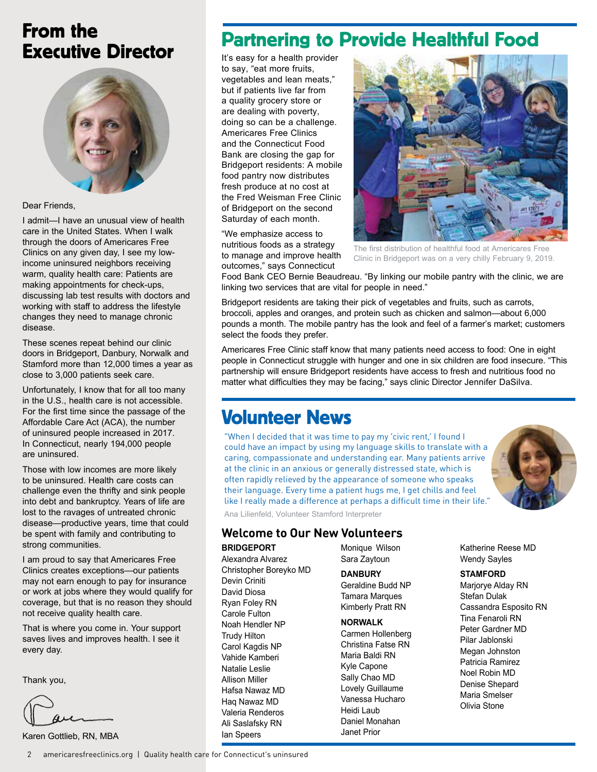### From the Executive Director



#### Dear Friends,

I admit—I have an unusual view of health care in the United States. When I walk through the doors of Americares Free Clinics on any given day, I see my lowincome uninsured neighbors receiving warm, quality health care: Patients are making appointments for check-ups, discussing lab test results with doctors and working with staff to address the lifestyle changes they need to manage chronic disease.

These scenes repeat behind our clinic doors in Bridgeport, Danbury, Norwalk and Stamford more than 12,000 times a year as close to 3,000 patients seek care.

Unfortunately, I know that for all too many in the U.S., health care is not accessible. For the first time since the passage of the Affordable Care Act (ACA), the number of uninsured people increased in 2017. In Connecticut, nearly 194,000 people are uninsured.

Those with low incomes are more likely to be uninsured. Health care costs can challenge even the thrifty and sink people into debt and bankruptcy. Years of life are lost to the ravages of untreated chronic disease—productive years, time that could be spent with family and contributing to strong communities.

I am proud to say that Americares Free Clinics creates exceptions—our patients may not earn enough to pay for insurance or work at jobs where they would qualify for coverage, but that is no reason they should not receive quality health care.

That is where you come in. Your support saves lives and improves health. I see it every day.

Thank you,

Karen Gottlieb, RN, MBA

#### 2 americaresfreeclinics.org | Quality health care for Connecticut's uninsured

### Partnering to Provide Healthful Food

It's easy for a health provider to say, "eat more fruits, vegetables and lean meats," but if patients live far from a quality grocery store or are dealing with poverty, doing so can be a challenge. Americares Free Clinics and the Connecticut Food Bank are closing the gap for Bridgeport residents: A mobile food pantry now distributes fresh produce at no cost at the Fred Weisman Free Clinic of Bridgeport on the second Saturday of each month.

"We emphasize access to nutritious foods as a strategy to manage and improve health outcomes," says Connecticut



The first distribution of healthful food at Americares Free Clinic in Bridgeport was on a very chilly February 9, 2019.

Food Bank CEO Bernie Beaudreau. "By linking our mobile pantry with the clinic, we are linking two services that are vital for people in need."

Bridgeport residents are taking their pick of vegetables and fruits, such as carrots, broccoli, apples and oranges, and protein such as chicken and salmon—about 6,000 pounds a month. The mobile pantry has the look and feel of a farmer's market; customers select the foods they prefer.

Americares Free Clinic staff know that many patients need access to food: One in eight people in Connecticut struggle with hunger and one in six children are food insecure. "This partnership will ensure Bridgeport residents have access to fresh and nutritious food no matter what difficulties they may be facing," says clinic Director Jennifer DaSilva.

### Volunteer News

"When I decided that it was time to pay my 'civic rent,' I found I could have an impact by using my language skills to translate with a caring, compassionate and understanding ear. Many patients arrive at the clinic in an anxious or generally distressed state, which is often rapidly relieved by the appearance of someone who speaks their language. Every time a patient hugs me, I get chills and feel like I really made a difference at perhaps a difficult time in their life."



Ana Lilienfeld, Volunteer Stamford Interpreter

### **Welcome to Our New Volunteers**

#### **BRIDGEPORT**

Alexandra Alvarez Christopher Boreyko MD Devin Criniti David Diosa Ryan Foley RN Carole Fulton Noah Hendler NP Trudy Hilton Carol Kagdis NP Vahide Kamberi Natalie Leslie Allison Miller Hafsa Nawaz MD Haq Nawaz MD Valeria Renderos Ali Saslafsky RN Ian Speers

Monique Wilson Sara Zaytoun

**DANBURY** Geraldine Budd NP Tamara Marques Kimberly Pratt RN

#### **NORWALK**

Carmen Hollenberg Christina Fatse RN Maria Baldi RN Kyle Capone Sally Chao MD Lovely Guillaume Vanessa Hucharo Heidi Laub Daniel Monahan Janet Prior

Katherine Reese MD Wendy Sayles

#### **STAMFORD**

Marjorye Alday RN Stefan Dulak Cassandra Esposito RN Tina Fenaroli RN Peter Gardner MD Pilar Jablonski Megan Johnston Patricia Ramirez Noel Robin MD Denise Shepard Maria Smelser Olivia Stone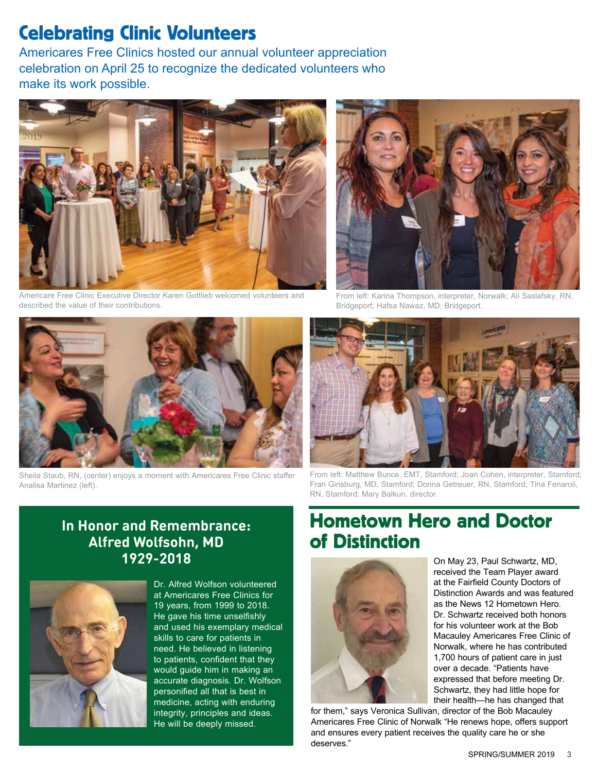### Celebrating Clinic Volunteers

Americares Free Clinics hosted our annual volunteer appreciation celebration on April 25 to recognize the dedicated volunteers who make its work possible.



Americare Free Clinic Executive Director Karen Gottlieb welcomed volunteers and described the value of their contributions.



From left: Karina Thompson, interpreter, Norwalk; Ali Saslafsky, RN, Bridgeport; Hafsa Nawaz, MD, Bridgeport.



Sheila Staub, RN, (center) enjoys a moment with Americares Free Clinic staffer Analisa Martinez (left).



From left: Matthew Bunce, EMT, Stamford; Joan Cohen, interpreter, Stamford; Fran Ginsburg, MD, Stamford; Donna Getreuer, RN, Stamford; Tina Fenaroli, RN, Stamford; Mary Balkun, director.

### **In Honor and Remembrance: Alfred Wolfsohn, MD 1929-2018**



Dr. Alfred Wolfson volunteered at Americares Free Clinics for 19 years, from 1999 to 2018. He gave his time unselfishly and used his exemplary medical skills to care for patients in need. He believed in listening to patients, confident that they would guide him in making an accurate diagnosis. Dr. Wolfson personified all that is best in medicine, acting with enduring integrity, principles and ideas. He will be deeply missed.

### Hometown Hero and Doctor of Distinction



On May 23, Paul Schwartz, MD, received the Team Player award at the Fairfield County Doctors of Distinction Awards and was featured as the News 12 Hometown Hero. Dr. Schwartz received both honors for his volunteer work at the Bob Macauley Americares Free Clinic of Norwalk, where he has contributed 1,700 hours of patient care in just over a decade. "Patients have expressed that before meeting Dr. Schwartz, they had little hope for their health—he has changed that

for them," says Veronica Sullivan, director of the Bob Macauley Americares Free Clinic of Norwalk "He renews hope, offers support and ensures every patient receives the quality care he or she deserves."